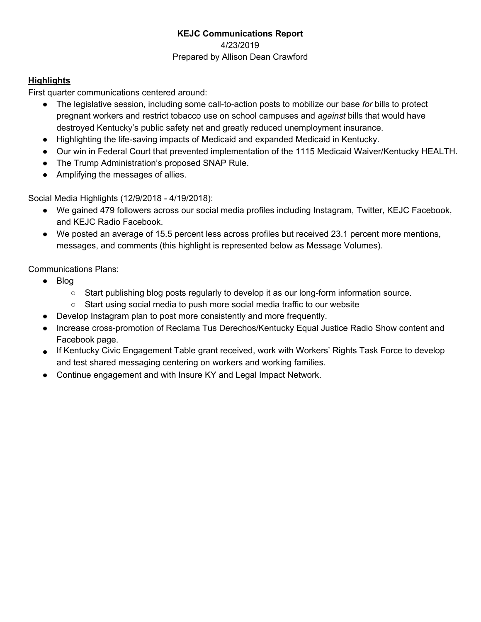# **KEJC Communications Report** 4/23/2019 Prepared by Allison Dean Crawford

## **Highlights**

First quarter communications centered around:

- The legislative session, including some call-to-action posts to mobilize our base *for* bills to protect pregnant workers and restrict tobacco use on school campuses and *against* bills that would have destroyed Kentucky's public safety net and greatly reduced unemployment insurance.
- Highlighting the life-saving impacts of Medicaid and expanded Medicaid in Kentucky.
- Our win in Federal Court that prevented implementation of the 1115 Medicaid Waiver/Kentucky HEALTH.
- The Trump Administration's proposed SNAP Rule.
- Amplifying the messages of allies.

Social Media Highlights (12/9/2018 - 4/19/2018):

- We gained 479 followers across our social media profiles including Instagram, Twitter, KEJC Facebook, and KEJC Radio Facebook.
- We posted an average of 15.5 percent less across profiles but received 23.1 percent more mentions, messages, and comments (this highlight is represented below as Message Volumes).

Communications Plans:

- Blog
	- Start publishing blog posts regularly to develop it as our long-form information source.
	- Start using social media to push more social media traffic to our website
- Develop Instagram plan to post more consistently and more frequently.
- Increase cross-promotion of Reclama Tus Derechos/Kentucky Equal Justice Radio Show content and Facebook page.
- If Kentucky Civic Engagement Table grant received, work with Workers' Rights Task Force to develop and test shared messaging centering on workers and working families.
- Continue engagement and with Insure KY and Legal Impact Network.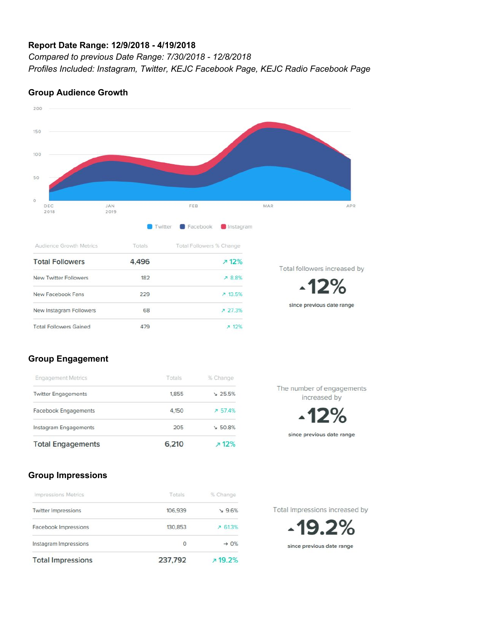#### **Report Date Range: 12/9/2018 - 4/19/2018**

*Compared to previous Date Range: 7/30/2018 - 12/8/2018 Profiles Included: Instagram, Twitter, KEJC Facebook Page, KEJC Radio Facebook Page*

#### 200 150 100 50  $\circ$ JAN<br>2019 DEC FEB MAR APR 2018 **Twitter Instagram** Facebook Audience Growth Metrics Totals Total Followers % Change **Total Followers** 4,496  $712%$ Total followers increased by New Twitter Followers 182 **78.8%** -12% New Facebook Fans 229  $713.5%$ since previous date range New Instagram Followers 68 ₹ 27.3% **Total Followers Gained** 479  $712%$

### **Group Audience Growth**

### **Group Engagement**

| <b>Total Engagements</b>    | 6.210  | 12%             |
|-----------------------------|--------|-----------------|
| Instagram Engagements       | 205    | $\times 50.8\%$ |
| <b>Facebook Engagements</b> | 4,150  | 7.57.4%         |
| <b>Twitter Engagements</b>  | 1.855  | $\vee$ 25.5%    |
| <b>Engagement Metrics</b>   | Totals | % Change        |

The number of engagements increased by

since previous date range

## **Group Impressions**

| <b>Total Impressions</b>   | 237,792 | 719.2%            |  |  |
|----------------------------|---------|-------------------|--|--|
| Instagram Impressions      | 0       | $\rightarrow 0\%$ |  |  |
| Facebook Impressions       | 130,853 | 761.3%            |  |  |
| <b>Twitter Impressions</b> | 106,939 | 2.6%              |  |  |
| Impressions Metrics        | Totals  | % Change          |  |  |

Total Impressions increased by

19.2% since previous date range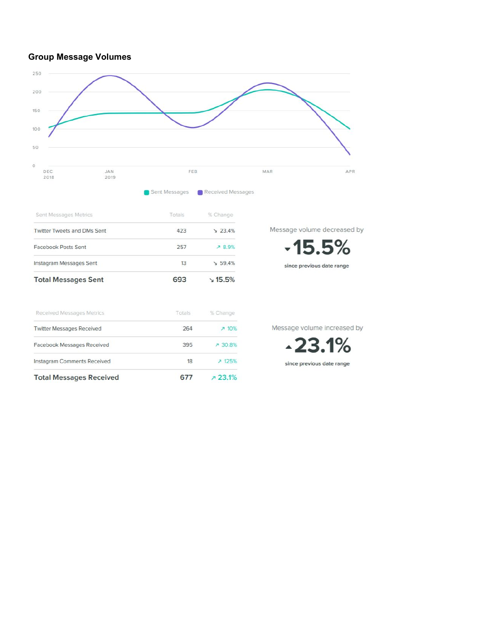## **Group Message Volumes**



Sent Messages **C** Received Messages

| Sent Messages Metrics       | Totals | % Change        |  |
|-----------------------------|--------|-----------------|--|
| Twitter Tweets and DMs Sent | 423    | 23.4%           |  |
| Facebook Posts Sent         | 257    | <b>789%</b>     |  |
| Instagram Messages Sent     | 13     | $\times 59.4\%$ |  |
| <b>Total Messages Sent</b>  | 693    | $\times$ 15.5%  |  |

| Received Messages Metrics          | Totals | % Change |
|------------------------------------|--------|----------|
| <b>Twitter Messages Received</b>   | 264    | 7.10%    |
| Facebook Messages Received         | 395    | A 30.8%  |
| <b>Instagram Comments Received</b> | 18     | ₹ 125%   |
| <b>Total Messages Received</b>     | 677    | 723.1%   |

Message volume decreased by

 $-15.5%$ 

since previous date range

Message volume increased by

 $-23.1%$ since previous date range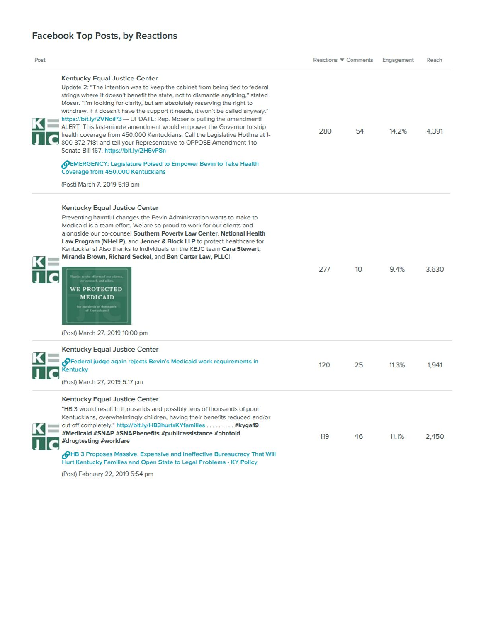| Post                                                                                                                                                                                                                                                                                                                                                                                                                                                                                                                                                                                                                                                                                                                      | Reactions ▼ Comments   | Engagement | Reach |
|---------------------------------------------------------------------------------------------------------------------------------------------------------------------------------------------------------------------------------------------------------------------------------------------------------------------------------------------------------------------------------------------------------------------------------------------------------------------------------------------------------------------------------------------------------------------------------------------------------------------------------------------------------------------------------------------------------------------------|------------------------|------------|-------|
| <b>Kentucky Equal Justice Center</b><br>Update 2: "The intention was to keep the cabinet from being tied to federal<br>strings where it doesn't benefit the state, not to dismantle anything," stated<br>Moser. "I'm looking for clarity, but am absolutely reserving the right to<br>withdraw. If it doesn't have the support it needs, it won't be called anyway."<br>https://bit.ly/2VNoiP3 --- UPDATE: Rep. Moser is pulling the amendment!<br>ALERT: This last-minute amendment would empower the Governor to strip<br>health coverage from 450,000 Kentuckians. Call the Legislative Hotline at 1-<br>800-372-7181 and tell your Representative to OPPOSE Amendment 1 to<br>Senate Bill 167. https://bit.ly/2H6vP8n | 54<br>280              | 14.2%      | 4.391 |
| OEMERGENCY: Legislature Poised to Empower Bevin to Take Health<br>Coverage from 450,000 Kentuckians                                                                                                                                                                                                                                                                                                                                                                                                                                                                                                                                                                                                                       |                        |            |       |
| (Post) March 7, 2019 5:19 pm                                                                                                                                                                                                                                                                                                                                                                                                                                                                                                                                                                                                                                                                                              |                        |            |       |
| <b>Kentucky Equal Justice Center</b><br>Preventing harmful changes the Bevin Administration wants to make to<br>Medicaid is a team effort. We are so proud to work for our clients and<br>alongside our co-counsel Southern Poverty Law Center, National Health<br>Law Program (NHeLP), and Jenner & Block LLP to protect healthcare for<br>Kentuckians! Also thanks to individuals on the KEJC team Cara Stewart.<br>Miranda Brown, Richard Seckel, and Ben Carter Law, PLLC!<br>inks to the efforts of our clients<br><b>WE PROTECTED</b><br>MEDICAID<br>indreds of thousands<br>of Kentuckians'<br>(Post) March 27, 2019 10:00 pm                                                                                      | 277<br>10 <sup>2</sup> | 9.4%       | 3,630 |
| Kentucky Equal Justice Center                                                                                                                                                                                                                                                                                                                                                                                                                                                                                                                                                                                                                                                                                             |                        |            |       |
| OFederal judge again rejects Bevin's Medicaid work requirements in<br><b>Kentucky</b><br>(Post) March 27, 2019 5:17 pm                                                                                                                                                                                                                                                                                                                                                                                                                                                                                                                                                                                                    | 25<br>120              | 11.3%      | 1,941 |
| <b>Kentucky Equal Justice Center</b><br>"HB 3 would result in thousands and possibly tens of thousands of poor<br>Kentuckians, overwhelmingly children, having their benefits reduced and/or<br>cut off completely." http://bit.ly/HB3hurtsKYfamilies #kyga19<br>#Medicaid #SNAP #SNAPbenefits #publicassistance #photoid<br>#drugtesting #workfare<br><b>OHB 3 Proposes Massive, Expensive and Ineffective Bureaucracy That Will</b>                                                                                                                                                                                                                                                                                     | 119<br>46              | 11.1%      | 2,450 |

(Post) February 22, 2019 5:54 pm